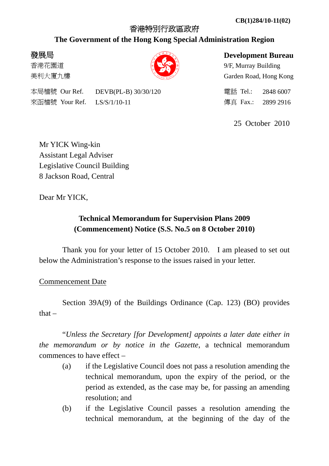## 香港特別行政區政府

## **The Government of the Hong Kong Special Administration Region**

# 發展局

香港花園道 美利大廈九樓

**Development Bureau** 

9/F, Murray Building Garden Road, Hong Kong

本局檔號 Our Ref. DEVB(PL-B) 30/30/120 電話 Tel.: 2848 6007 來函檔號 Your Ref. LS/S/1/10-11 傳真 Fax.: 2899 2916

25 October 2010

Mr YICK Wing-kin Assistant Legal Adviser Legislative Council Building 8 Jackson Road, Central

Dear Mr YICK,

# **Technical Memorandum for Supervision Plans 2009 (Commencement) Notice (S.S. No.5 on 8 October 2010)**

 Thank you for your letter of 15 October 2010. I am pleased to set out below the Administration's response to the issues raised in your letter.

Commencement Date

 Section 39A(9) of the Buildings Ordinance (Cap. 123) (BO) provides that –

 "*Unless the Secretary [for Development] appoints a later date either in the memorandum or by notice in the Gazette*, a technical memorandum commences to have effect –

- (a) if the Legislative Council does not pass a resolution amending the technical memorandum, upon the expiry of the period, or the period as extended, as the case may be, for passing an amending resolution; and
- (b) if the Legislative Council passes a resolution amending the technical memorandum, at the beginning of the day of the